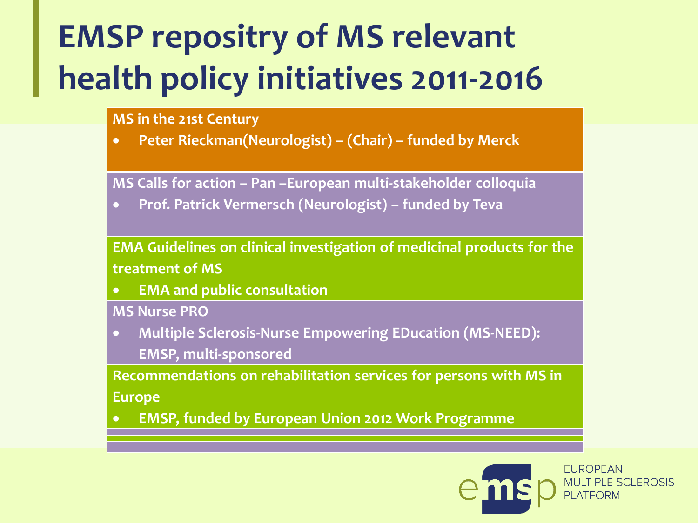# **EMSP repositry of MS relevant health policy initiatives 2011-2016**

#### **MS in the 21st Century**

**Peter Rieckman(Neurologist) – (Chair) – funded by Merck** 

**MS Calls for action – Pan –European multi-stakeholder colloquia**

**Prof. Patrick Vermersch (Neurologist) – funded by Teva**

**EMA Guidelines on clinical investigation of medicinal products for the treatment of MS**

**EMA and public consultation**

**MS Nurse PRO**

 **Multiple Sclerosis-Nurse Empowering EDucation (MS-NEED): EMSP, multi-sponsored**

**Recommendations on rehabilitation services for persons with MS in Europe**

**EMSP, funded by European Union 2012 Work Programme**

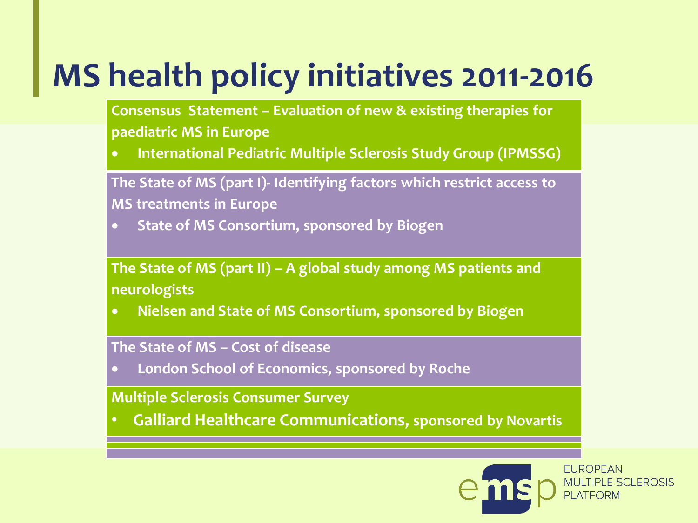# **MS health policy initiatives 2011-2016**

**Consensus Statement – Evaluation of new & existing therapies for paediatric MS in Europe**

**International Pediatric Multiple Sclerosis Study Group (IPMSSG)**

**The State of MS (part I)- Identifying factors which restrict access to MS treatments in Europe**

**State of MS Consortium, sponsored by Biogen**

**The State of MS (part II) – A global study among MS patients and neurologists**

**Nielsen and State of MS Consortium, sponsored by Biogen** 

#### **The State of MS – Cost of disease**

**London School of Economics, sponsored by Roche**

**Multiple Sclerosis Consumer Survey**

• **Galliard Healthcare Communications, sponsored by Novartis**